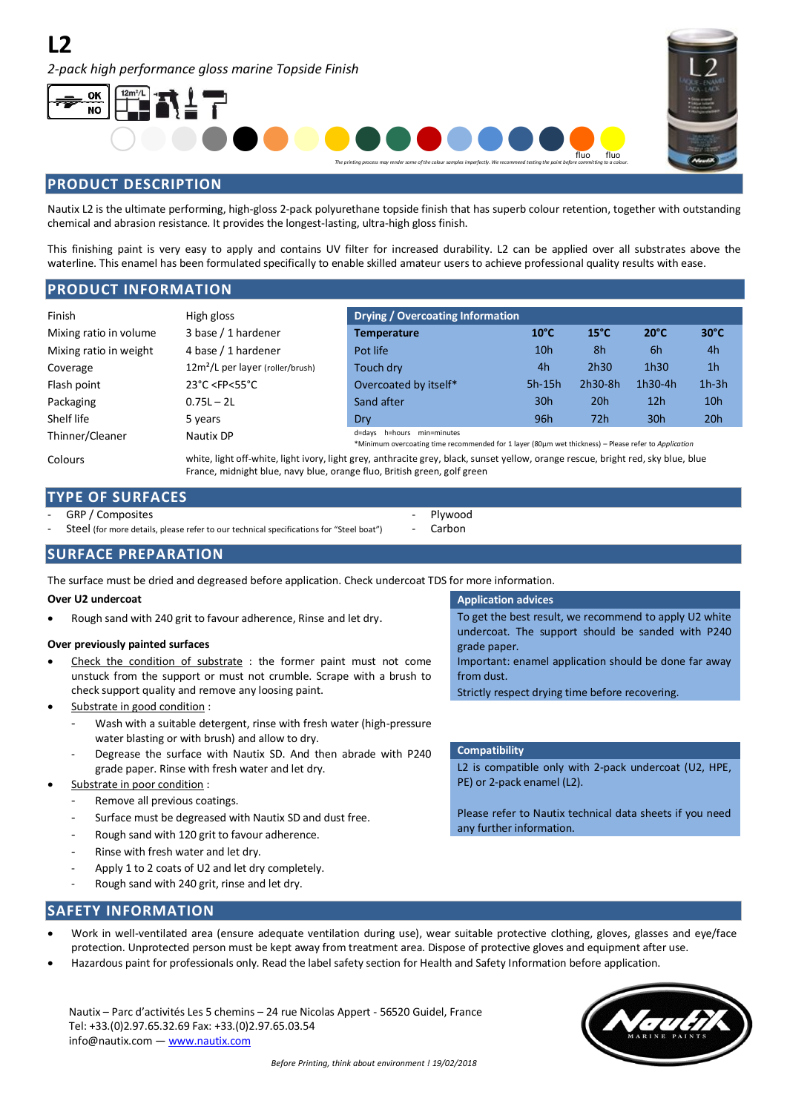*2-pack high performance gloss marine Topside Finish*





# **PRODUCT DESCRIPTION**

Nautix L2 is the ultimate performing, high-gloss 2-pack polyurethane topside finish that has superb colour retention, together with outstanding chemical and abrasion resistance. It provides the longest-lasting, ultra-high gloss finish.

This finishing paint is very easy to apply and contains UV filter for increased durability. L2 can be applied over all substrates above the waterline. This enamel has been formulated specifically to enable skilled amateur users to achieve professional quality results with ease.

# **PRODUCT INFORMATION**

| Finish                 | High gloss                                        | <b>Drying / Overcoating Information</b>                                                                                            |                 |                |                  |                 |
|------------------------|---------------------------------------------------|------------------------------------------------------------------------------------------------------------------------------------|-----------------|----------------|------------------|-----------------|
| Mixing ratio in volume | 3 base / 1 hardener                               | <b>Temperature</b>                                                                                                                 | $10^{\circ}$ C  | $15^{\circ}$ C | $20^{\circ}$ C   | $30^{\circ}$ C  |
| Mixing ratio in weight | 4 base / 1 hardener                               | Pot life                                                                                                                           | 10 <sub>h</sub> | 8h             | -6h              | 4h              |
| Coverage               | 12m <sup>2</sup> /L per layer (roller/brush)      | Touch dry                                                                                                                          | 4h              | 2h30           | 1h <sub>30</sub> | 1 <sub>h</sub>  |
| Flash point            | $23^{\circ}$ C <fp<55<math>^{\circ}C</fp<55<math> | Overcoated by itself*                                                                                                              | $5h-15h$        | 2h30-8h        | 1h30-4h          | $1h-3h$         |
| Packaging              | $0.75L - 2L$                                      | Sand after                                                                                                                         | 30h             | 20h            | 12 <sub>h</sub>  | 10 <sub>h</sub> |
| Shelf life             | 5 years                                           | Dry                                                                                                                                | 96h             | 72h            | 30 <sub>h</sub>  | 20h             |
| Thinner/Cleaner        | Nautix DP                                         | d=days h=hours min=minutes<br>*Minimum overcoating time recommended for 1 layer (80um wet thickness) - Please refer to Application |                 |                |                  |                 |
|                        |                                                   |                                                                                                                                    |                 |                |                  |                 |

Colours white, light off-white, light ivory, light grey, anthracite grey, black, sunset yellow, orange rescue, bright red, sky blue, blue France, midnight blue, navy blue, orange fluo, British green, golf green

> Plywood Carbon

# **TYPE OF SURFACES**

GRP / Composites

Steel (for more details, please refer to our technical specifications for "Steel boat")

**SURFACE PREPARATION**

The surface must be dried and degreased before application. Check undercoat TDS for more information.

## **Over U2 undercoat Application advices Application advices Application advices**

Rough sand with 240 grit to favour adherence, Rinse and let dry. To get the best result, we recommend to apply U2 white

## **Over previously painted surfaces**

- Check the condition of substrate : the former paint must not come unstuck from the support or must not crumble. Scrape with a brush to check support quality and remove any loosing paint.
- Substrate in good condition :
	- Wash with a suitable detergent, rinse with fresh water (high-pressure water blasting or with brush) and allow to dry.
	- Degrease the surface with Nautix SD. And then abrade with P240 grade paper. Rinse with fresh water and let dry.
- Substrate in poor condition :
	- Remove all previous coatings.
	- Surface must be degreased with Nautix SD and dust free.
	- Rough sand with 120 grit to favour adherence.
	- Rinse with fresh water and let dry.
	- Apply 1 to 2 coats of U2 and let dry completely.
	- Rough sand with 240 grit, rinse and let dry.

undercoat. The support should be sanded with P240 grade paper.

Important: enamel application should be done far away from dust.

Strictly respect drying time before recovering.

## **Compatibility**

L2 is compatible only with 2-pack undercoat (U2, HPE, PE) or 2-pack enamel (L2).

Please refer to Nautix technical data sheets if you need any further information.

# **SAFETY INFORMATION**

- Work in well-ventilated area (ensure adequate ventilation during use), wear suitable protective clothing, gloves, glasses and eye/face protection. Unprotected person must be kept away from treatment area. Dispose of protective gloves and equipment after use.
- Hazardous paint for professionals only. Read the label safety section for Health and Safety Information before application.

Nautix – Parc d'activités Les 5 chemins – 24 rue Nicolas Appert - 56520 Guidel, France Tel: +33.(0)2.97.65.32.69 Fax: +33.(0)2.97.65.03.54 info@nautix.com — www.nautix.com